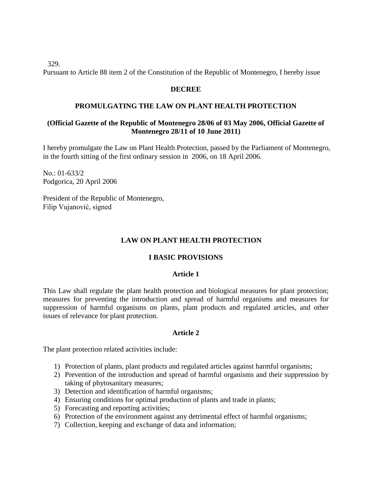329.

Pursuant to Article 88 item 2 of the Constitution of the Republic of Montenegro, I hereby issue

#### **DECREE**

#### **PROMULGATING THE LAW ON PLANT HEALTH PROTECTION**

#### **(Official Gazette of the Republic of Montenegro 28/06 of 03 May 2006, Official Gazette of Montenegro 28/11 of 10 June 2011)**

I hereby promulgate the Law on Plant Health Protection, passed by the Parliament of Montenegro, in the fourth sitting of the first ordinary session in 2006, on 18 April 2006.

No.: 01-633/2 Podgorica, 20 April 2006

President of the Republic of Montenegro, Filip Vujanović, signed

### **LAW ON PLANT HEALTH PROTECTION**

#### **I BASIC PROVISIONS**

#### **Article 1**

This Law shall regulate the plant health protection and biological measures for plant protection; measures for preventing the introduction and spread of harmful organisms and measures for suppression of harmful organisms on plants, plant products and regulated articles, and other issues of relevance for plant protection.

#### **Article 2**

The plant protection related activities include:

- 1) Protection of plants, plant products and regulated articles against harmful organisms;
- 2) Prevention of the introduction and spread of harmful organisms and their suppression by taking of phytosanitary measures;
- 3) Detection and identification of harmful organisms;
- 4) Ensuring conditions for optimal production of plants and trade in plants;
- 5) Forecasting and reporting activities;
- 6) Protection of the environment against any detrimental effect of harmful organisms;
- 7) Collection, keeping and exchange of data and information;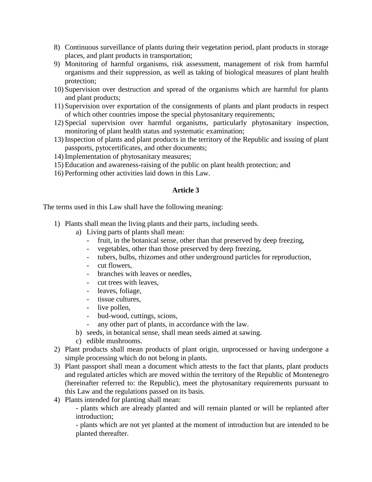- 8) Continuous surveillance of plants during their vegetation period, plant products in storage places, and plant products in transportation;
- 9) Monitoring of harmful organisms, risk assessment, management of risk from harmful organisms and their suppression, as well as taking of biological measures of plant health protection;
- 10) Supervision over destruction and spread of the organisms which are harmful for plants and plant products;
- 11) Supervision over exportation of the consignments of plants and plant products in respect of which other countries impose the special phytosanitary requirements;
- 12) Special supervision over harmful organisms, particularly phytosanitary inspection, monitoring of plant health status and systematic examination;
- 13) Inspection of plants and plant products in the territory of the Republic and issuing of plant passports, pytocertificates, and other documents;
- 14) Implementation of phytosanitary measures;
- 15) Education and awareness-raising of the public on plant health protection; and
- 16) Performing other activities laid down in this Law.

# **Article 3**

The terms used in this Law shall have the following meaning:

- 1) Plants shall mean the living plants and their parts, including seeds.
	- a) Living parts of plants shall mean:
		- fruit, in the botanical sense, other than that preserved by deep freezing,
		- vegetables, other than those preserved by deep freezing,
		- tubers, bulbs, rhizomes and other underground particles for reproduction,
		- cut flowers,
		- branches with leaves or needles,
		- cut trees with leaves,
		- leaves, foliage,
		- tissue cultures,
		- live pollen,
		- bud-wood, cuttings, scions,
		- any other part of plants, in accordance with the law.
	- b) seeds, in botanical sense, shall mean seeds aimed at sawing.
	- c) edible mushrooms.
- 2) Plant products shall mean products of plant origin, unprocessed or having undergone a simple processing which do not belong in plants.
- 3) Plant passport shall mean a document which attests to the fact that plants, plant products and regulated articles which are moved within the territory of the Republic of Montenegro (hereinafter referred to: the Republic), meet the phytosanitary requirements pursuant to this Law and the regulations passed on its basis.
- 4) Plants intended for planting shall mean:

- plants which are already planted and will remain planted or will be replanted after introduction;

- plants which are not yet planted at the moment of introduction but are intended to be planted thereafter.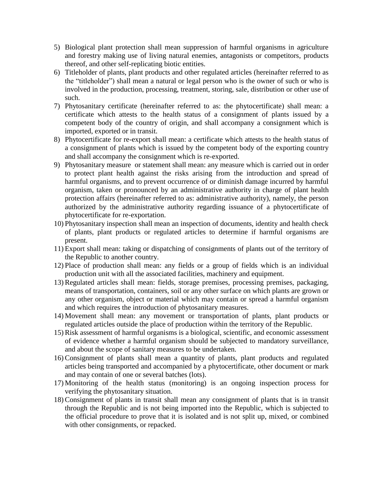- 5) Biological plant protection shall mean suppression of harmful organisms in agriculture and forestry making use of living natural enemies, antagonists or competitors, products thereof, and other self-replicating biotic entities.
- 6) Titleholder of plants, plant products and other regulated articles (hereinafter referred to as the "titleholder") shall mean a natural or legal person who is the owner of such or who is involved in the production, processing, treatment, storing, sale, distribution or other use of such.
- 7) Phytosanitary certificate (hereinafter referred to as: the phytocertificate) shall mean: a certificate which attests to the health status of a consignment of plants issued by a competent body of the country of origin, and shall accompany a consignment which is imported, exported or in transit.
- 8) Phytocertificate for re-export shall mean: a certificate which attests to the health status of a consignment of plants which is issued by the competent body of the exporting country and shall accompany the consignment which is re-exported.
- 9) Phytosanitary measure or statement shall mean: any measure which is carried out in order to protect plant health against the risks arising from the introduction and spread of harmful organisms, and to prevent occurrence of or diminish damage incurred by harmful organism, taken or pronounced by an administrative authority in charge of plant health protection affairs (hereinafter referred to as: administrative authority), namely, the person authorized by the administrative authority regarding issuance of a phytocertificate of phytocertificate for re-exportation.
- 10) Phytosanitary inspection shall mean an inspection of documents, identity and health check of plants, plant products or regulated articles to determine if harmful organisms are present.
- 11) Export shall mean: taking or dispatching of consignments of plants out of the territory of the Republic to another country.
- 12) Place of production shall mean: any fields or a group of fields which is an individual production unit with all the associated facilities, machinery and equipment.
- 13)Regulated articles shall mean: fields, storage premises, processing premises, packaging, means of transportation, containers, soil or any other surface on which plants are grown or any other organism, object or material which may contain or spread a harmful organism and which requires the introduction of phytosanitary measures.
- 14) Movement shall mean: any movement or transportation of plants, plant products or regulated articles outside the place of production within the territory of the Republic.
- 15)Risk assessment of harmful organisms is a biological, scientific, and economic assessment of evidence whether a harmful organism should be subjected to mandatory surveillance, and about the scope of sanitary measures to be undertaken.
- 16)Consignment of plants shall mean a quantity of plants, plant products and regulated articles being transported and accompanied by a phytocertificate, other document or mark and may contain of one or several batches (lots).
- 17) Monitoring of the health status (monitoring) is an ongoing inspection process for verifying the phytosanitary situation.
- 18)Consignment of plants in transit shall mean any consignment of plants that is in transit through the Republic and is not being imported into the Republic, which is subjected to the official procedure to prove that it is isolated and is not split up, mixed, or combined with other consignments, or repacked.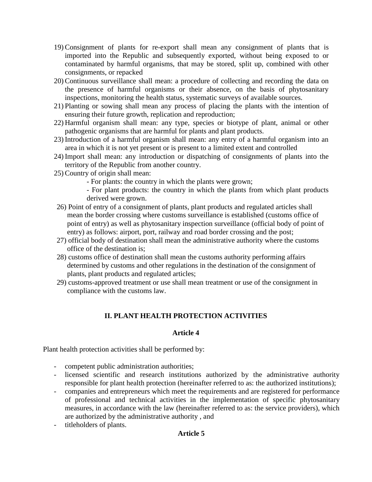- 19)Consignment of plants for re-export shall mean any consignment of plants that is imported into the Republic and subsequently exported, without being exposed to or contaminated by harmful organisms, that may be stored, split up, combined with other consignments, or repacked
- 20)Continuous surveillance shall mean: a procedure of collecting and recording the data on the presence of harmful organisms or their absence, on the basis of phytosanitary inspections, monitoring the health status, systematic surveys of available sources.
- 21) Planting or sowing shall mean any process of placing the plants with the intention of ensuring their future growth, replication and reproduction;
- 22) Harmful organism shall mean: any type, species or biotype of plant, animal or other pathogenic organisms that are harmful for plants and plant products.
- 23) Introduction of a harmful organism shall mean: any entry of a harmful organism into an area in which it is not yet present or is present to a limited extent and controlled
- 24) Import shall mean: any introduction or dispatching of consignments of plants into the territory of the Republic from another country.
- 25)Country of origin shall mean:
	- For plants: the country in which the plants were grown;
	- For plant products: the country in which the plants from which plant products derived were grown.
- 26) Point of entry of a consignment of plants, plant products and regulated articles shall mean the border crossing where customs surveillance is established (customs office of point of entry) as well as phytosanitary inspection surveillance (official body of point of entry) as follows: airport, port, railway and road border crossing and the post;
- 27) official body of destination shall mean the administrative authority where the customs office of the destination is;
- 28) customs office of destination shall mean the customs authority performing affairs determined by customs and other regulations in the destination of the consignment of plants, plant products and regulated articles;
- 29) customs-approved treatment or use shall mean treatment or use of the consignment in compliance with the customs law.

# **II. PLANT HEALTH PROTECTION ACTIVITIES**

# **Article 4**

Plant health protection activities shall be performed by:

- competent public administration authorities;
- licensed scientific and research institutions authorized by the administrative authority responsible for plant health protection (hereinafter referred to as: the authorized institutions);
- companies and entrepreneurs which meet the requirements and are registered for performance of professional and technical activities in the implementation of specific phytosanitary measures, in accordance with the law (hereinafter referred to as: the service providers), which are authorized by the administrative authority , and
- titleholders of plants.

#### **Article 5**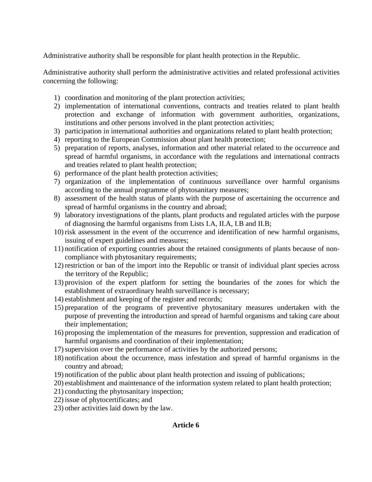Administrative authority shall be responsible for plant health protection in the Republic.

Administrative authority shall perform the administrative activities and related professional activities concerning the following:

- 1) coordination and monitoring of the plant protection activities;
- 2) implementation of international conventions, contracts and treaties related to plant health protection and exchange of information with government authorities, organizations, institutions and other persons involved in the plant protection activities;
- 3) participation in international authorities and organizations related to plant health protection;
- 4) reporting to the European Commission about plant health protection;
- 5) preparation of reports, analyses, information and other material related to the occurrence and spread of harmful organisms, in accordance with the regulations and international contracts and treaties related to plant health protection;
- 6) performance of the plant health protection activities;
- 7) organization of the implementation of continuous surveillance over harmful organisms according to the annual programme of phytosanitary measures;
- 8) assessment of the health status of plants with the purpose of ascertaining the occurrence and spread of harmful organisms in the country and abroad;
- 9) laboratory investignations of the plants, plant products and regulated articles with the purpose of diagnosing the harmful organisms from Lists I.A, II.A, I.B and II.B;
- 10) risk assessment in the event of the occurrence and identification of new harmful organisms, issuing of expert guidelines and measures;
- 11) notification of exporting countries about the retained consignments of plants because of noncompliance with phytosanitary requirements;
- 12) restriction or ban of the import into the Republic or transit of individual plant species across the territory of the Republic;
- 13) provision of the expert platform for setting the boundaries of the zones for which the establishment of extraordinary health surveillance is necessary;
- 14) establishment and keeping of the register and records;
- 15) preparation of the programs of preventive phytosanitary measures undertaken with the purpose of preventing the introduction and spread of harmful organisms and taking care about their implementation;
- 16) proposing the implementation of the measures for prevention, suppression and eradication of harmful organisms and coordination of their implementation;
- 17)supervision over the performance of activities by the authorized persons;
- 18) notification about the occurrence, mass infestation and spread of harmful organisms in the country and abroad;
- 19) notification of the public about plant health protection and issuing of publications;
- 20) establishment and maintenance of the information system related to plant health protection;
- 21) conducting the phytosanitary inspection;
- 22) issue of phytocertificates; and
- 23) other activities laid down by the law.

# **Article 6**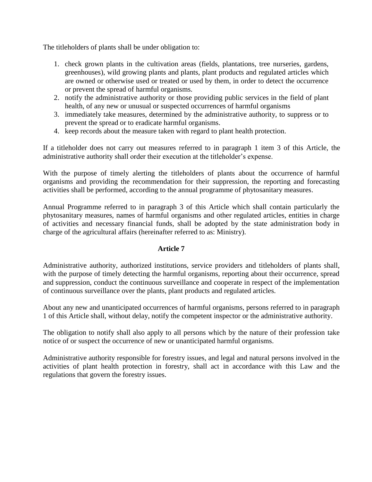The titleholders of plants shall be under obligation to:

- 1. check grown plants in the cultivation areas (fields, plantations, tree nurseries, gardens, greenhouses), wild growing plants and plants, plant products and regulated articles which are owned or otherwise used or treated or used by them, in order to detect the occurrence or prevent the spread of harmful organisms.
- 2. notify the administrative authority or those providing public services in the field of plant health, of any new or unusual or suspected occurrences of harmful organisms
- 3. immediately take measures, determined by the administrative authority, to suppress or to prevent the spread or to eradicate harmful organisms.
- 4. keep records about the measure taken with regard to plant health protection.

If a titleholder does not carry out measures referred to in paragraph 1 item 3 of this Article, the administrative authority shall order their execution at the titleholder's expense.

With the purpose of timely alerting the titleholders of plants about the occurrence of harmful organisms and providing the recommendation for their suppression, the reporting and forecasting activities shall be performed, according to the annual programme of phytosanitary measures.

Annual Programme referred to in paragraph 3 of this Article which shall contain particularly the phytosanitary measures, names of harmful organisms and other regulated articles, entities in charge of activities and necessary financial funds, shall be adopted by the state administration body in charge of the agricultural affairs (hereinafter referred to as: Ministry).

#### **Article 7**

Administrative authority, authorized institutions, service providers and titleholders of plants shall, with the purpose of timely detecting the harmful organisms, reporting about their occurrence, spread and suppression, conduct the continuous surveillance and cooperate in respect of the implementation of continuous surveillance over the plants, plant products and regulated articles.

About any new and unanticipated occurrences of harmful organisms, persons referred to in paragraph 1 of this Article shall, without delay, notify the competent inspector or the administrative authority.

The obligation to notify shall also apply to all persons which by the nature of their profession take notice of or suspect the occurrence of new or unanticipated harmful organisms.

Administrative authority responsible for forestry issues, and legal and natural persons involved in the activities of plant health protection in forestry, shall act in accordance with this Law and the regulations that govern the forestry issues.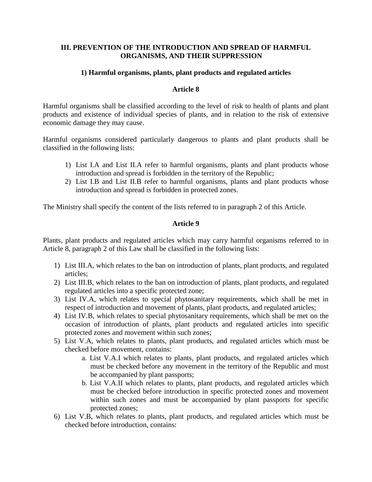# **III. PREVENTION OF THE INTRODUCTION AND SPREAD OF HARMFUL ORGANISMS, AND THEIR SUPPRESSION**

### **1) Harmful organisms, plants, plant products and regulated articles**

### **Article 8**

Harmful organisms shall be classified according to the level of risk to health of plants and plant products and existence of individual species of plants, and in relation to the risk of extensive economic damage they may cause.

Harmful organisms considered particularly dangerous to plants and plant products shall be classified in the following lists:

- 1) List I.A and List II.A refer to harmful organisms, plants and plant products whose introduction and spread is forbidden in the territory of the Republic;
- 2) List I.B and List II.B refer to harmful organisms, plants and plant products whose introduction and spread is forbidden in protected zones.

The Ministry shall specify the content of the lists referred to in paragraph 2 of this Article.

#### **Article 9**

Plants, plant products and regulated articles which may carry harmful organisms referred to in Article 8, paragraph 2 of this Law shall be classified in the following lists:

- 1) List III.A, which relates to the ban on introduction of plants, plant products, and regulated articles;
- 2) List III.B, which relates to the ban on introduction of plants, plant products, and regulated regulated articles into a specific protected zone;
- 3) List IV.A, which relates to special phytosanitary requirements, which shall be met in respect of introduction and movement of plants, plant products, and regulated articles;
- 4) List IV.B, which relates to special phytosanitary requirements, which shall be met on the occasion of introduction of plants, plant products and regulated articles into specific protected zones and movement within such zones;
- 5) List V.A, which relates to plants, plant products, and regulated articles which must be checked before movement, contains:
	- a. List V.A.I which relates to plants, plant products, and regulated articles which must be checked before any movement in the territory of the Republic and must be accompanied by plant passports;
	- b. List V.A.II which relates to plants, plant products, and regulated articles which must be checked before introduction in specific protected zones and movement within such zones and must be accompanied by plant passports for specific protected zones;
- 6) List V.B, which relates to plants, plant products, and regulated articles which must be checked before introduction, contains: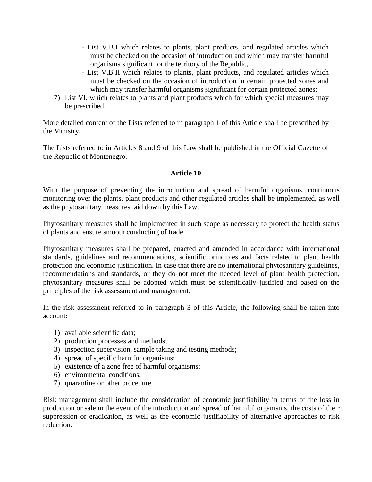- List V.B.I which relates to plants, plant products, and regulated articles which must be checked on the occasion of introduction and which may transfer harmful organisms significant for the territory of the Republic,
- List V.B.II which relates to plants, plant products, and regulated articles which must be checked on the occasion of introduction in certain protected zones and which may transfer harmful organisms significant for certain protected zones;
- 7) List VI, which relates to plants and plant products which for which special measures may be prescribed.

More detailed content of the Lists referred to in paragraph 1 of this Article shall be prescribed by the Ministry.

The Lists referred to in Articles 8 and 9 of this Law shall be published in the Official Gazette of the Republic of Montenegro.

### **Article 10**

With the purpose of preventing the introduction and spread of harmful organisms, continuous monitoring over the plants, plant products and other regulated articles shall be implemented, as well as the phytosanitary measures laid down by this Law.

Phytosanitary measures shall be implemented in such scope as necessary to protect the health status of plants and ensure smooth conducting of trade.

Phytosanitary measures shall be prepared, enacted and amended in accordance with international standards, guidelines and recommendations, scientific principles and facts related to plant health protection and economic justification. In case that there are no international phytosanitary guidelines, recommendations and standards, or they do not meet the needed level of plant health protection, phytosanitary measures shall be adopted which must be scientifically justified and based on the principles of the risk assessment and management.

In the risk assessment referred to in paragraph 3 of this Article, the following shall be taken into account:

- 1) available scientific data;
- 2) production processes and methods;
- 3) inspection supervision, sample taking and testing methods;
- 4) spread of specific harmful organisms;
- 5) existence of a zone free of harmful organisms;
- 6) environmental conditions;
- 7) quarantine or other procedure.

Risk management shall include the consideration of economic justifiability in terms of the loss in production or sale in the event of the introduction and spread of harmful organisms, the costs of their suppression or eradication, as well as the economic justifiability of alternative approaches to risk reduction.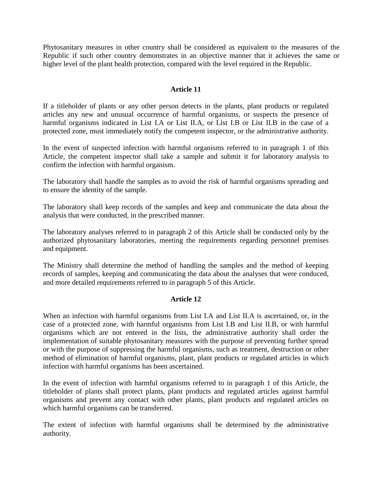Phytosanitary measures in other country shall be considered as equivalent to the measures of the Republic if such other country demonstrates in an objective manner that it achieves the same or higher level of the plant health protection, compared with the level required in the Republic.

### **Article 11**

If a titleholder of plants or any other person detects in the plants, plant products or regulated articles any new and unusual occurrence of harmful organisms, or suspects the presence of harmful organisms indicated in List I.A or List II.A, or List I.B or List II.B in the case of a protected zone, must immediately notify the competent inspector, or the administrative authority.

In the event of suspected infection with harmful organisms referred to in paragraph 1 of this Article, the competent inspector shall take a sample and submit it for laboratory analysis to confirm the infection with harmful organism.

The laboratory shall handle the samples as to avoid the risk of harmful organisms spreading and to ensure the identity of the sample.

The laboratory shall keep records of the samples and keep and communicate the data about the analysis that were conducted, in the prescribed manner.

The laboratory analyses referred to in paragraph 2 of this Article shall be conducted only by the authorized phytosanitary laboratories, meeting the requirements regarding personnel premises and equipment.

The Ministry shall determine the method of handling the samples and the method of keeping records of samples, keeping and communicating the data about the analyses that were conduced, and more detailed requirements referred to in paragraph 5 of this Article.

#### **Article 12**

When an infection with harmful organisms from List I.A and List II.A is ascertained, or, in the case of a protected zone, with harmful organisms from List I.B and List II.B, or with harmful organisms which are not entered in the lists, the administrative authority shall order the implementation of suitable phytosanitary measures with the purpose of preventing further spread or with the purpose of suppressing the harmful organisms, such as treatment, destruction or other method of elimination of harmful organisms, plant, plant products or regulated articles in which infection with harmful organisms has been ascertained.

In the event of infection with harmful organisms referred to in paragraph 1 of this Article, the titleholder of plants shall protect plants, plant products and regulated articles against harmful organisms and prevent any contact with other plants, plant products and regulated articles on which harmful organisms can be transferred.

The extent of infection with harmful organisms shall be determined by the administrative authority.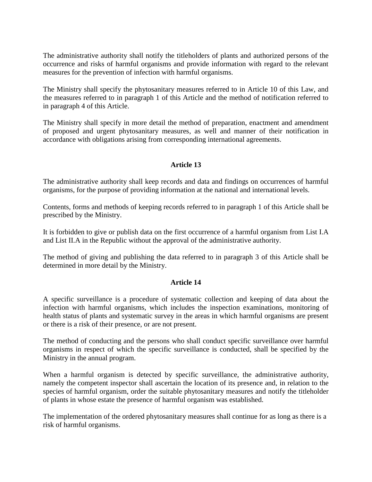The administrative authority shall notify the titleholders of plants and authorized persons of the occurrence and risks of harmful organisms and provide information with regard to the relevant measures for the prevention of infection with harmful organisms.

The Ministry shall specify the phytosanitary measures referred to in Article 10 of this Law, and the measures referred to in paragraph 1 of this Article and the method of notification referred to in paragraph 4 of this Article.

The Ministry shall specify in more detail the method of preparation, enactment and amendment of proposed and urgent phytosanitary measures, as well and manner of their notification in accordance with obligations arising from corresponding international agreements.

# **Article 13**

The administrative authority shall keep records and data and findings on occurrences of harmful organisms, for the purpose of providing information at the national and international levels.

Contents, forms and methods of keeping records referred to in paragraph 1 of this Article shall be prescribed by the Ministry.

It is forbidden to give or publish data on the first occurrence of a harmful organism from List I.A and List II.A in the Republic without the approval of the administrative authority.

The method of giving and publishing the data referred to in paragraph 3 of this Article shall be determined in more detail by the Ministry.

#### **Article 14**

A specific surveillance is a procedure of systematic collection and keeping of data about the infection with harmful organisms, which includes the inspection examinations, monitoring of health status of plants and systematic survey in the areas in which harmful organisms are present or there is a risk of their presence, or are not present.

The method of conducting and the persons who shall conduct specific surveillance over harmful organisms in respect of which the specific surveillance is conducted, shall be specified by the Ministry in the annual program.

When a harmful organism is detected by specific surveillance, the administrative authority, namely the competent inspector shall ascertain the location of its presence and, in relation to the species of harmful organism, order the suitable phytosanitary measures and notify the titleholder of plants in whose estate the presence of harmful organism was established.

The implementation of the ordered phytosanitary measures shall continue for as long as there is a risk of harmful organisms.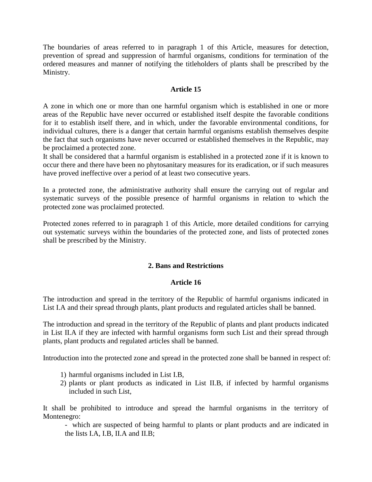The boundaries of areas referred to in paragraph 1 of this Article, measures for detection, prevention of spread and suppression of harmful organisms, conditions for termination of the ordered measures and manner of notifying the titleholders of plants shall be prescribed by the Ministry.

### **Article 15**

A zone in which one or more than one harmful organism which is established in one or more areas of the Republic have never occurred or established itself despite the favorable conditions for it to establish itself there, and in which, under the favorable environmental conditions, for individual cultures, there is a danger that certain harmful organisms establish themselves despite the fact that such organisms have never occurred or established themselves in the Republic, may be proclaimed a protected zone.

It shall be considered that a harmful organism is established in a protected zone if it is known to occur there and there have been no phytosanitary measures for its eradication, or if such measures have proved ineffective over a period of at least two consecutive years.

In a protected zone, the administrative authority shall ensure the carrying out of regular and systematic surveys of the possible presence of harmful organisms in relation to which the protected zone was proclaimed protected.

Protected zones referred to in paragraph 1 of this Article, more detailed conditions for carrying out systematic surveys within the boundaries of the protected zone, and lists of protected zones shall be prescribed by the Ministry.

#### **2. Bans and Restrictions**

#### **Article 16**

The introduction and spread in the territory of the Republic of harmful organisms indicated in List I.A and their spread through plants, plant products and regulated articles shall be banned.

The introduction and spread in the territory of the Republic of plants and plant products indicated in List II.A if they are infected with harmful organisms form such List and their spread through plants, plant products and regulated articles shall be banned.

Introduction into the protected zone and spread in the protected zone shall be banned in respect of:

- 1) harmful organisms included in List I.B,
- 2) plants or plant products as indicated in List II.B, if infected by harmful organisms included in such List,

It shall be prohibited to introduce and spread the harmful organisms in the territory of Montenegro:

- which are suspected of being harmful to plants or plant products and are indicated in the lists I.A, I.B, II.A and II.B;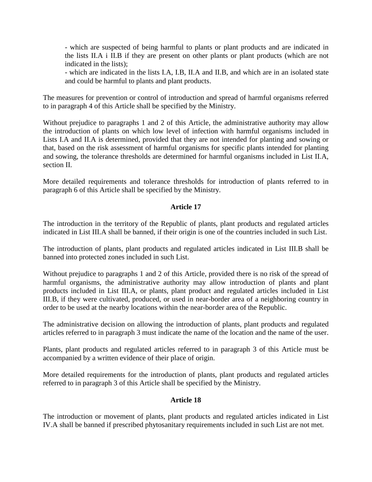- which are suspected of being harmful to plants or plant products and are indicated in the lists II.A i II.B if they are present on other plants or plant products (which are not indicated in the lists);

- which are indicated in the lists I.A, I.B, II.A and II.B, and which are in an isolated state and could be harmful to plants and plant products.

The measures for prevention or control of introduction and spread of harmful organisms referred to in paragraph 4 of this Article shall be specified by the Ministry.

Without prejudice to paragraphs 1 and 2 of this Article, the administrative authority may allow the introduction of plants on which low level of infection with harmful organisms included in Lists I.A and II.A is determined, provided that they are not intended for planting and sowing or that, based on the risk assessment of harmful organisms for specific plants intended for planting and sowing, the tolerance thresholds are determined for harmful organisms included in List II.A, section II.

More detailed requirements and tolerance thresholds for introduction of plants referred to in paragraph 6 of this Article shall be specified by the Ministry.

# **Article 17**

The introduction in the territory of the Republic of plants, plant products and regulated articles indicated in List III.A shall be banned, if their origin is one of the countries included in such List.

The introduction of plants, plant products and regulated articles indicated in List III.B shall be banned into protected zones included in such List.

Without prejudice to paragraphs 1 and 2 of this Article, provided there is no risk of the spread of harmful organisms, the administrative authority may allow introduction of plants and plant products included in List III.A, or plants, plant product and regulated articles included in List III.B, if they were cultivated, produced, or used in near-border area of a neighboring country in order to be used at the nearby locations within the near-border area of the Republic.

The administrative decision on allowing the introduction of plants, plant products and regulated articles referred to in paragraph 3 must indicate the name of the location and the name of the user.

Plants, plant products and regulated articles referred to in paragraph 3 of this Article must be accompanied by a written evidence of their place of origin.

More detailed requirements for the introduction of plants, plant products and regulated articles referred to in paragraph 3 of this Article shall be specified by the Ministry.

#### **Article 18**

The introduction or movement of plants, plant products and regulated articles indicated in List IV.A shall be banned if prescribed phytosanitary requirements included in such List are not met.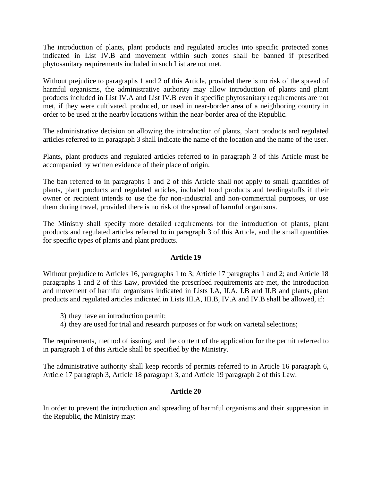The introduction of plants, plant products and regulated articles into specific protected zones indicated in List IV.B and movement within such zones shall be banned if prescribed phytosanitary requirements included in such List are not met.

Without prejudice to paragraphs 1 and 2 of this Article, provided there is no risk of the spread of harmful organisms, the administrative authority may allow introduction of plants and plant products included in List IV.A and List IV.B even if specific phytosanitary requirements are not met, if they were cultivated, produced, or used in near-border area of a neighboring country in order to be used at the nearby locations within the near-border area of the Republic.

The administrative decision on allowing the introduction of plants, plant products and regulated articles referred to in paragraph 3 shall indicate the name of the location and the name of the user.

Plants, plant products and regulated articles referred to in paragraph 3 of this Article must be accompanied by written evidence of their place of origin.

The ban referred to in paragraphs 1 and 2 of this Article shall not apply to small quantities of plants, plant products and regulated articles, included food products and feedingstuffs if their owner or recipient intends to use the for non-industrial and non-commercial purposes, or use them during travel, provided there is no risk of the spread of harmful organisms.

The Ministry shall specify more detailed requirements for the introduction of plants, plant products and regulated articles referred to in paragraph 3 of this Article, and the small quantities for specific types of plants and plant products.

#### **Article 19**

Without prejudice to Articles 16, paragraphs 1 to 3; Article 17 paragraphs 1 and 2; and Article 18 paragraphs 1 and 2 of this Law, provided the prescribed requirements are met, the introduction and movement of harmful organisms indicated in Lists I.A, II.A, I.B and II.B and plants, plant products and regulated articles indicated in Lists III.A, III.B, IV.A and IV.B shall be allowed, if:

- 3) they have an introduction permit;
- 4) they are used for trial and research purposes or for work on varietal selections;

The requirements, method of issuing, and the content of the application for the permit referred to in paragraph 1 of this Article shall be specified by the Ministry.

The administrative authority shall keep records of permits referred to in Article 16 paragraph 6, Article 17 paragraph 3, Article 18 paragraph 3, and Article 19 paragraph 2 of this Law.

# **Article 20**

In order to prevent the introduction and spreading of harmful organisms and their suppression in the Republic, the Ministry may: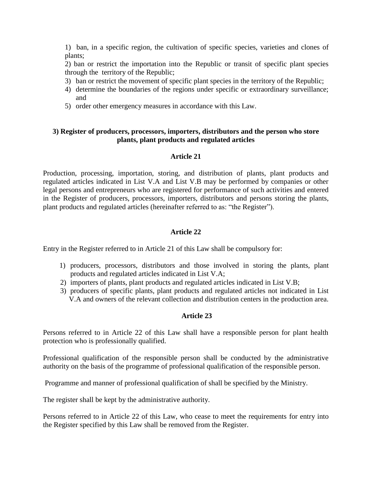1) ban, in a specific region, the cultivation of specific species, varieties and clones of plants;

2) ban or restrict the importation into the Republic or transit of specific plant species through the territory of the Republic;

- 3) ban or restrict the movement of specific plant species in the territory of the Republic;
- 4) determine the boundaries of the regions under specific or extraordinary surveillance; and
- 5) order other emergency measures in accordance with this Law.

### **3) Register of producers, processors, importers, distributors and the person who store plants, plant products and regulated articles**

#### **Article 21**

Production, processing, importation, storing, and distribution of plants, plant products and regulated articles indicated in List V.A and List V.B may be performed by companies or other legal persons and entrepreneurs who are registered for performance of such activities and entered in the Register of producers, processors, importers, distributors and persons storing the plants, plant products and regulated articles (hereinafter referred to as: "the Register").

### **Article 22**

Entry in the Register referred to in Article 21 of this Law shall be compulsory for:

- 1) producers, processors, distributors and those involved in storing the plants, plant products and regulated articles indicated in List V.A;
- 2) importers of plants, plant products and regulated articles indicated in List V.B;
- 3) producers of specific plants, plant products and regulated articles not indicated in List V.A and owners of the relevant collection and distribution centers in the production area.

#### **Article 23**

Persons referred to in Article 22 of this Law shall have a responsible person for plant health protection who is professionally qualified.

Professional qualification of the responsible person shall be conducted by the administrative authority on the basis of the programme of professional qualification of the responsible person.

Programme and manner of professional qualification of shall be specified by the Ministry.

The register shall be kept by the administrative authority.

Persons referred to in Article 22 of this Law, who cease to meet the requirements for entry into the Register specified by this Law shall be removed from the Register.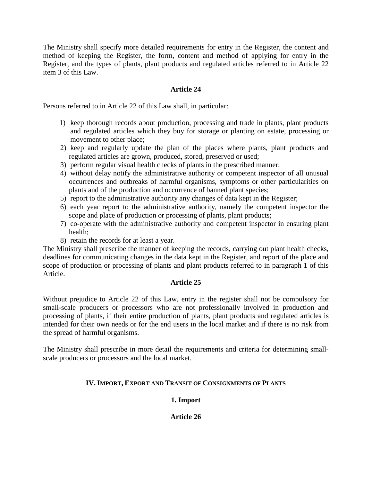The Ministry shall specify more detailed requirements for entry in the Register, the content and method of keeping the Register, the form, content and method of applying for entry in the Register, and the types of plants, plant products and regulated articles referred to in Article 22 item 3 of this Law.

# **Article 24**

Persons referred to in Article 22 of this Law shall, in particular:

- 1) keep thorough records about production, processing and trade in plants, plant products and regulated articles which they buy for storage or planting on estate, processing or movement to other place;
- 2) keep and regularly update the plan of the places where plants, plant products and regulated articles are grown, produced, stored, preserved or used;
- 3) perform regular visual health checks of plants in the prescribed manner;
- 4) without delay notify the administrative authority or competent inspector of all unusual occurrences and outbreaks of harmful organisms, symptoms or other particularities on plants and of the production and occurrence of banned plant species;
- 5) report to the administrative authority any changes of data kept in the Register;
- 6) each year report to the administrative authority, namely the competent inspector the scope and place of production or processing of plants, plant products;
- 7) co-operate with the administrative authority and competent inspector in ensuring plant health;
- 8) retain the records for at least a year.

The Ministry shall prescribe the manner of keeping the records, carrying out plant health checks, deadlines for communicating changes in the data kept in the Register, and report of the place and scope of production or processing of plants and plant products referred to in paragraph 1 of this Article.

#### **Article 25**

Without prejudice to Article 22 of this Law, entry in the register shall not be compulsory for small-scale producers or processors who are not professionally involved in production and processing of plants, if their entire production of plants, plant products and regulated articles is intended for their own needs or for the end users in the local market and if there is no risk from the spread of harmful organisms.

The Ministry shall prescribe in more detail the requirements and criteria for determining smallscale producers or processors and the local market.

# **IV. IMPORT, EXPORT AND TRANSIT OF CONSIGNMENTS OF PLANTS**

# **1. Import**

**Article 26**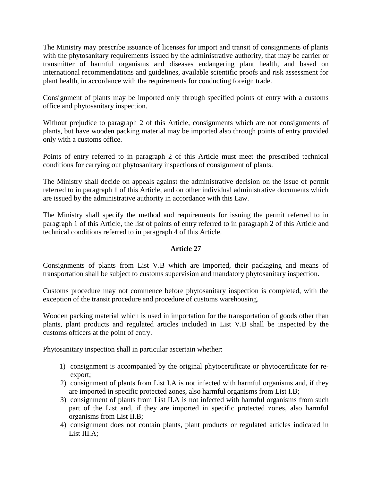The Ministry may prescribe issuance of licenses for import and transit of consignments of plants with the phytosanitary requirements issued by the administrative authority, that may be carrier or transmitter of harmful organisms and diseases endangering plant health, and based on international recommendations and guidelines, available scientific proofs and risk assessment for plant health, in accordance with the requirements for conducting foreign trade.

Consignment of plants may be imported only through specified points of entry with a customs office and phytosanitary inspection.

Without prejudice to paragraph 2 of this Article, consignments which are not consignments of plants, but have wooden packing material may be imported also through points of entry provided only with a customs office.

Points of entry referred to in paragraph 2 of this Article must meet the prescribed technical conditions for carrying out phytosanitary inspections of consignment of plants.

The Ministry shall decide on appeals against the administrative decision on the issue of permit referred to in paragraph 1 of this Article, and on other individual administrative documents which are issued by the administrative authority in accordance with this Law.

The Ministry shall specify the method and requirements for issuing the permit referred to in paragraph 1 of this Article, the list of points of entry referred to in paragraph 2 of this Article and technical conditions referred to in paragraph 4 of this Article.

#### **Article 27**

Consignments of plants from List V.B which are imported, their packaging and means of transportation shall be subject to customs supervision and mandatory phytosanitary inspection.

Customs procedure may not commence before phytosanitary inspection is completed, with the exception of the transit procedure and procedure of customs warehousing.

Wooden packing material which is used in importation for the transportation of goods other than plants, plant products and regulated articles included in List V.B shall be inspected by the customs officers at the point of entry.

Phytosanitary inspection shall in particular ascertain whether:

- 1) consignment is accompanied by the original phytocertificate or phytocertificate for reexport;
- 2) consignment of plants from List I.A is not infected with harmful organisms and, if they are imported in specific protected zones, also harmful organisms from List I.B;
- 3) consignment of plants from List II.A is not infected with harmful organisms from such part of the List and, if they are imported in specific protected zones, also harmful organisms from List II.B;
- 4) consignment does not contain plants, plant products or regulated articles indicated in List III.A;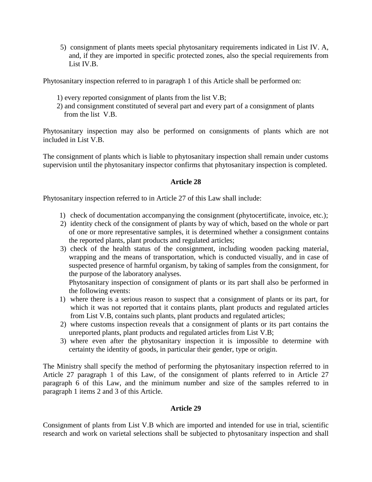5) consignment of plants meets special phytosanitary requirements indicated in List IV. A, and, if they are imported in specific protected zones, also the special requirements from List IV.B.

Phytosanitary inspection referred to in paragraph 1 of this Article shall be performed on:

- 1) every reported consignment of plants from the list V.B;
- 2) and consignment constituted of several part and every part of a consignment of plants from the list V.B.

Phytosanitary inspection may also be performed on consignments of plants which are not included in List V.B.

The consignment of plants which is liable to phytosanitary inspection shall remain under customs supervision until the phytosanitary inspector confirms that phytosanitary inspection is completed.

### **Article 28**

Phytosanitary inspection referred to in Article 27 of this Law shall include:

- 1) check of documentation accompanying the consignment (phytocertificate, invoice, etc.);
- 2) identity check of the consignment of plants by way of which, based on the whole or part of one or more representative samples, it is determined whether a consignment contains the reported plants, plant products and regulated articles;
- 3) check of the health status of the consignment, including wooden packing material, wrapping and the means of transportation, which is conducted visually, and in case of suspected presence of harmful organism, by taking of samples from the consignment, for the purpose of the laboratory analyses.

Phytosanitary inspection of consignment of plants or its part shall also be performed in the following events:

- 1) where there is a serious reason to suspect that a consignment of plants or its part, for which it was not reported that it contains plants, plant products and regulated articles from List V.B, contains such plants, plant products and regulated articles;
- 2) where customs inspection reveals that a consignment of plants or its part contains the unreported plants, plant products and regulated articles from List V.B;
- 3) where even after the phytosanitary inspection it is impossible to determine with certainty the identity of goods, in particular their gender, type or origin.

The Ministry shall specify the method of performing the phytosanitary inspection referred to in Article 27 paragraph 1 of this Law, of the consignment of plants referred to in Article 27 paragraph 6 of this Law, and the minimum number and size of the samples referred to in paragraph 1 items 2 and 3 of this Article.

# **Article 29**

Consignment of plants from List V.B which are imported and intended for use in trial, scientific research and work on varietal selections shall be subjected to phytosanitary inspection and shall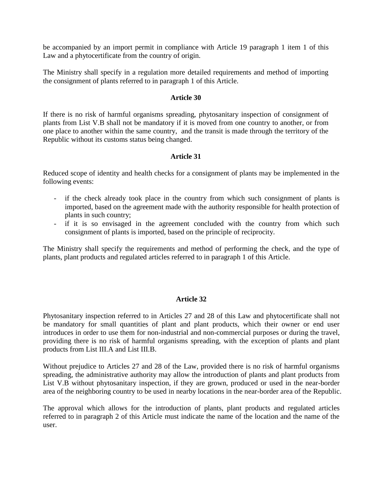be accompanied by an import permit in compliance with Article 19 paragraph 1 item 1 of this Law and a phytocertificate from the country of origin.

The Ministry shall specify in a regulation more detailed requirements and method of importing the consignment of plants referred to in paragraph 1 of this Article.

#### **Article 30**

If there is no risk of harmful organisms spreading, phytosanitary inspection of consignment of plants from List V.B shall not be mandatory if it is moved from one country to another, or from one place to another within the same country, and the transit is made through the territory of the Republic without its customs status being changed.

#### **Article 31**

Reduced scope of identity and health checks for a consignment of plants may be implemented in the following events:

- if the check already took place in the country from which such consignment of plants is imported, based on the agreement made with the authority responsible for health protection of plants in such country;
- if it is so envisaged in the agreement concluded with the country from which such consignment of plants is imported, based on the principle of reciprocity.

The Ministry shall specify the requirements and method of performing the check, and the type of plants, plant products and regulated articles referred to in paragraph 1 of this Article.

#### **Article 32**

Phytosanitary inspection referred to in Articles 27 and 28 of this Law and phytocertificate shall not be mandatory for small quantities of plant and plant products, which their owner or end user introduces in order to use them for non-industrial and non-commercial purposes or during the travel, providing there is no risk of harmful organisms spreading, with the exception of plants and plant products from List III.A and List III.B.

Without prejudice to Articles 27 and 28 of the Law, provided there is no risk of harmful organisms spreading, the administrative authority may allow the introduction of plants and plant products from List V.B without phytosanitary inspection, if they are grown, produced or used in the near-border area of the neighboring country to be used in nearby locations in the near-border area of the Republic.

The approval which allows for the introduction of plants, plant products and regulated articles referred to in paragraph 2 of this Article must indicate the name of the location and the name of the user.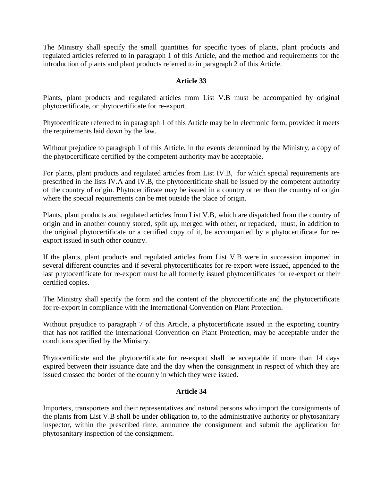The Ministry shall specify the small quantities for specific types of plants, plant products and regulated articles referred to in paragraph 1 of this Article, and the method and requirements for the introduction of plants and plant products referred to in paragraph 2 of this Article.

### **Article 33**

Plants, plant products and regulated articles from List V.B must be accompanied by original phytocertificate, or phytocertificate for re-export.

Phytocertificate referred to in paragraph 1 of this Article may be in electronic form, provided it meets the requirements laid down by the law.

Without prejudice to paragraph 1 of this Article, in the events determined by the Ministry, a copy of the phytocertificate certified by the competent authority may be acceptable.

For plants, plant products and regulated articles from List IV.B, for which special requirements are prescribed in the lists IV.A and IV.B, the phytocertificate shall be issued by the competent authority of the country of origin. Phytocertificate may be issued in a country other than the country of origin where the special requirements can be met outside the place of origin.

Plants, plant products and regulated articles from List V.B, which are dispatched from the country of origin and in another country stored, split up, merged with other, or repacked, must, in addition to the original phytocertificate or a certified copy of it, be accompanied by a phytocertificate for reexport issued in such other country.

If the plants, plant products and regulated articles from List V.B were in succession imported in several different countries and if several phytocertificates for re-export were issued, appended to the last phytocertificate for re-export must be all formerly issued phytocertificates for re-export or their certified copies.

The Ministry shall specify the form and the content of the phytocertificate and the phytocertificate for re-export in compliance with the International Convention on Plant Protection.

Without prejudice to paragraph 7 of this Article, a phytocertificate issued in the exporting country that has not ratified the International Convention on Plant Protection, may be acceptable under the conditions specified by the Ministry.

Phytocertificate and the phytocertificate for re-export shall be acceptable if more than 14 days expired between their issuance date and the day when the consignment in respect of which they are issued crossed the border of the country in which they were issued.

### **Article 34**

Importers, transporters and their representatives and natural persons who import the consignments of the plants from List V.B shall be under obligation to, to the administrative authority or phytosanitary inspector, within the prescribed time, announce the consignment and submit the application for phytosanitary inspection of the consignment.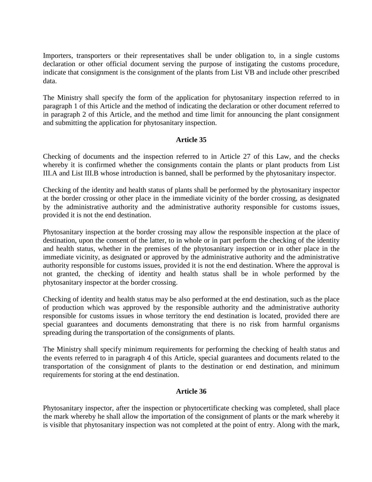Importers, transporters or their representatives shall be under obligation to, in a single customs declaration or other official document serving the purpose of instigating the customs procedure, indicate that consignment is the consignment of the plants from List VB and include other prescribed data.

The Ministry shall specify the form of the application for phytosanitary inspection referred to in paragraph 1 of this Article and the method of indicating the declaration or other document referred to in paragraph 2 of this Article, and the method and time limit for announcing the plant consignment and submitting the application for phytosanitary inspection.

#### **Article 35**

Checking of documents and the inspection referred to in Article 27 of this Law, and the checks whereby it is confirmed whether the consignments contain the plants or plant products from List III.A and List III.B whose introduction is banned, shall be performed by the phytosanitary inspector.

Checking of the identity and health status of plants shall be performed by the phytosanitary inspector at the border crossing or other place in the immediate vicinity of the border crossing, as designated by the administrative authority and the administrative authority responsible for customs issues, provided it is not the end destination.

Phytosanitary inspection at the border crossing may allow the responsible inspection at the place of destination, upon the consent of the latter, to in whole or in part perform the checking of the identity and health status, whether in the premises of the phytosanitary inspection or in other place in the immediate vicinity, as designated or approved by the administrative authority and the administrative authority responsible for customs issues, provided it is not the end destination. Where the approval is not granted, the checking of identity and health status shall be in whole performed by the phytosanitary inspector at the border crossing.

Checking of identity and health status may be also performed at the end destination, such as the place of production which was approved by the responsible authority and the administrative authority responsible for customs issues in whose territory the end destination is located, provided there are special guarantees and documents demonstrating that there is no risk from harmful organisms spreading during the transportation of the consignments of plants.

The Ministry shall specify minimum requirements for performing the checking of health status and the events referred to in paragraph 4 of this Article, special guarantees and documents related to the transportation of the consignment of plants to the destination or end destination, and minimum requirements for storing at the end destination.

#### **Article 36**

Phytosanitary inspector, after the inspection or phytocertificate checking was completed, shall place the mark whereby he shall allow the importation of the consignment of plants or the mark whereby it is visible that phytosanitary inspection was not completed at the point of entry. Along with the mark,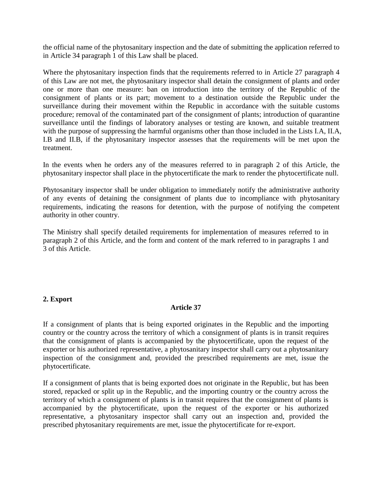the official name of the phytosanitary inspection and the date of submitting the application referred to in Article 34 paragraph 1 of this Law shall be placed.

Where the phytosanitary inspection finds that the requirements referred to in Article 27 paragraph 4 of this Law are not met, the phytosanitary inspector shall detain the consignment of plants and order one or more than one measure: ban on introduction into the territory of the Republic of the consignment of plants or its part; movement to a destination outside the Republic under the surveillance during their movement within the Republic in accordance with the suitable customs procedure; removal of the contaminated part of the consignment of plants; introduction of quarantine surveillance until the findings of laboratory analyses or testing are known, and suitable treatment with the purpose of suppressing the harmful organisms other than those included in the Lists I.A, II.A, I.B and II.B, if the phytosanitary inspector assesses that the requirements will be met upon the treatment.

In the events when he orders any of the measures referred to in paragraph 2 of this Article, the phytosanitary inspector shall place in the phytocertificate the mark to render the phytocertificate null.

Phytosanitary inspector shall be under obligation to immediately notify the administrative authority of any events of detaining the consignment of plants due to incompliance with phytosanitary requirements, indicating the reasons for detention, with the purpose of notifying the competent authority in other country.

The Ministry shall specify detailed requirements for implementation of measures referred to in paragraph 2 of this Article, and the form and content of the mark referred to in paragraphs 1 and 3 of this Article.

#### **2. Export**

# **Article 37**

If a consignment of plants that is being exported originates in the Republic and the importing country or the country across the territory of which a consignment of plants is in transit requires that the consignment of plants is accompanied by the phytocertificate, upon the request of the exporter or his authorized representative, a phytosanitary inspector shall carry out a phytosanitary inspection of the consignment and, provided the prescribed requirements are met, issue the phytocertificate.

If a consignment of plants that is being exported does not originate in the Republic, but has been stored, repacked or split up in the Republic, and the importing country or the country across the territory of which a consignment of plants is in transit requires that the consignment of plants is accompanied by the phytocertificate, upon the request of the exporter or his authorized representative, a phytosanitary inspector shall carry out an inspection and, provided the prescribed phytosanitary requirements are met, issue the phytocertificate for re-export.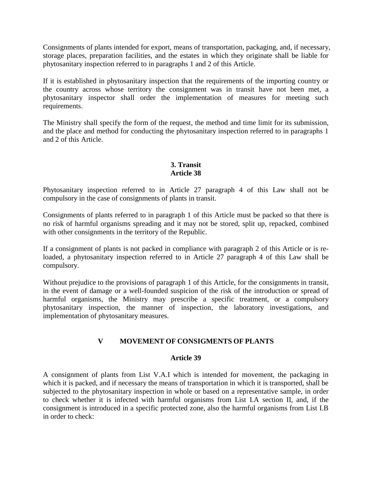Consignments of plants intended for export, means of transportation, packaging, and, if necessary, storage places, preparation facilities, and the estates in which they originate shall be liable for phytosanitary inspection referred to in paragraphs 1 and 2 of this Article.

If it is established in phytosanitary inspection that the requirements of the importing country or the country across whose territory the consignment was in transit have not been met, a phytosanitary inspector shall order the implementation of measures for meeting such requirements.

The Ministry shall specify the form of the request, the method and time limit for its submission, and the place and method for conducting the phytosanitary inspection referred to in paragraphs 1 and 2 of this Article.

# **3. Transit Article 38**

Phytosanitary inspection referred to in Article 27 paragraph 4 of this Law shall not be compulsory in the case of consignments of plants in transit.

Consignments of plants referred to in paragraph 1 of this Article must be packed so that there is no risk of harmful organisms spreading and it may not be stored, split up, repacked, combined with other consignments in the territory of the Republic.

If a consignment of plants is not packed in compliance with paragraph 2 of this Article or is reloaded, a phytosanitary inspection referred to in Article 27 paragraph 4 of this Law shall be compulsory.

Without prejudice to the provisions of paragraph 1 of this Article, for the consignments in transit, in the event of damage or a well-founded suspicion of the risk of the introduction or spread of harmful organisms, the Ministry may prescribe a specific treatment, or a compulsory phytosanitary inspection, the manner of inspection, the laboratory investigations, and implementation of phytosanitary measures.

# **V MOVEMENT OF CONSIGMENTS OF PLANTS**

#### **Article 39**

A consignment of plants from List V.A.I which is intended for movement, the packaging in which it is packed, and if necessary the means of transportation in which it is transported, shall be subjected to the phytosanitary inspection in whole or based on a representative sample, in order to check whether it is infected with harmful organisms from List I.A section II, and, if the consignment is introduced in a specific protected zone, also the harmful organisms from List I.B in order to check: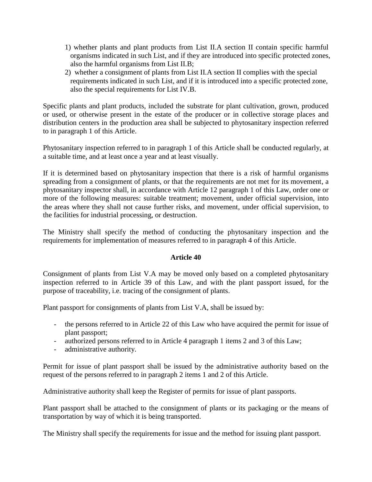- 1) whether plants and plant products from List II.A section II contain specific harmful organisms indicated in such List, and if they are introduced into specific protected zones, also the harmful organisms from List II.B;
- 2) whether a consignment of plants from List II.A section II complies with the special requirements indicated in such List, and if it is introduced into a specific protected zone, also the special requirements for List IV.B.

Specific plants and plant products, included the substrate for plant cultivation, grown, produced or used, or otherwise present in the estate of the producer or in collective storage places and distribution centers in the production area shall be subjected to phytosanitary inspection referred to in paragraph 1 of this Article.

Phytosanitary inspection referred to in paragraph 1 of this Article shall be conducted regularly, at a suitable time, and at least once a year and at least visually.

If it is determined based on phytosanitary inspection that there is a risk of harmful organisms spreading from a consignment of plants, or that the requirements are not met for its movement, a phytosanitary inspector shall, in accordance with Article 12 paragraph 1 of this Law, order one or more of the following measures: suitable treatment; movement, under official supervision, into the areas where they shall not cause further risks, and movement, under official supervision, to the facilities for industrial processing, or destruction.

The Ministry shall specify the method of conducting the phytosanitary inspection and the requirements for implementation of measures referred to in paragraph 4 of this Article.

#### **Article 40**

Consignment of plants from List V.A may be moved only based on a completed phytosanitary inspection referred to in Article 39 of this Law, and with the plant passport issued, for the purpose of traceability, i.e. tracing of the consignment of plants.

Plant passport for consignments of plants from List V.A, shall be issued by:

- the persons referred to in Article 22 of this Law who have acquired the permit for issue of plant passport;
- authorized persons referred to in Article 4 paragraph 1 items 2 and 3 of this Law;
- administrative authority.

Permit for issue of plant passport shall be issued by the administrative authority based on the request of the persons referred to in paragraph 2 items 1 and 2 of this Article.

Administrative authority shall keep the Register of permits for issue of plant passports.

Plant passport shall be attached to the consignment of plants or its packaging or the means of transportation by way of which it is being transported.

The Ministry shall specify the requirements for issue and the method for issuing plant passport.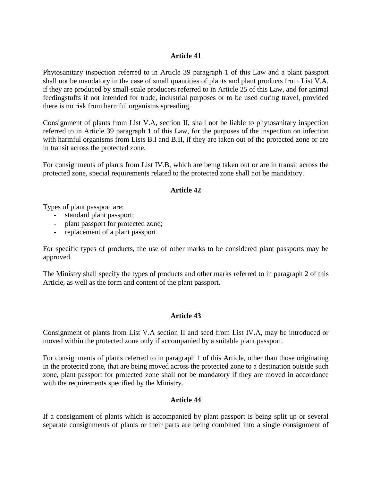### **Article 41**

Phytosanitary inspection referred to in Article 39 paragraph 1 of this Law and a plant passport shall not be mandatory in the case of small quantities of plants and plant products from List V.A, if they are produced by small-scale producers referred to in Article 25 of this Law, and for animal feedingstuffs if not intended for trade, industrial purposes or to be used during travel, provided there is no risk from harmful organisms spreading.

Consignment of plants from List V.A, section II, shall not be liable to phytosanitary inspection referred to in Article 39 paragraph 1 of this Law, for the purposes of the inspection on infection with harmful organisms from Lists B.I and B.II, if they are taken out of the protected zone or are in transit across the protected zone.

For consignments of plants from List IV.B, which are being taken out or are in transit across the protected zone, special requirements related to the protected zone shall not be mandatory.

### **Article 42**

Types of plant passport are:

- standard plant passport;
- plant passport for protected zone;
- replacement of a plant passport.

For specific types of products, the use of other marks to be considered plant passports may be approved.

The Ministry shall specify the types of products and other marks referred to in paragraph 2 of this Article, as well as the form and content of the plant passport.

#### **Article 43**

Consignment of plants from List V.A section II and seed from List IV.A, may be introduced or moved within the protected zone only if accompanied by a suitable plant passport.

For consignments of plants referred to in paragraph 1 of this Article, other than those originating in the protected zone, that are being moved across the protected zone to a destination outside such zone, plant passport for protected zone shall not be mandatory if they are moved in accordance with the requirements specified by the Ministry.

#### **Article 44**

If a consignment of plants which is accompanied by plant passport is being split up or several separate consignments of plants or their parts are being combined into a single consignment of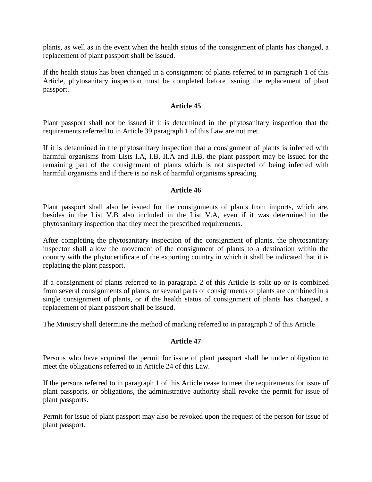plants, as well as in the event when the health status of the consignment of plants has changed, a replacement of plant passport shall be issued.

If the health status has been changed in a consignment of plants referred to in paragraph 1 of this Article, phytosanitary inspection must be completed before issuing the replacement of plant passport.

### **Article 45**

Plant passport shall not be issued if it is determined in the phytosanitary inspection that the requirements referred to in Article 39 paragraph 1 of this Law are not met.

If it is determined in the phytosanitary inspection that a consignment of plants is infected with harmful organisms from Lists I.A, I.B, II.A and II.B, the plant passport may be issued for the remaining part of the consignment of plants which is not suspected of being infected with harmful organisms and if there is no risk of harmful organisms spreading.

#### **Article 46**

Plant passport shall also be issued for the consignments of plants from imports, which are, besides in the List V.B also included in the List V.A, even if it was determined in the phytosanitary inspection that they meet the prescribed requirements.

After completing the phytosanitary inspection of the consignment of plants, the phytosanitary inspector shall allow the movement of the consignment of plants to a destination within the country with the phytocertificate of the exporting country in which it shall be indicated that it is replacing the plant passport.

If a consignment of plants referred to in paragraph 2 of this Article is split up or is combined from several consignments of plants, or several parts of consignments of plants are combined in a single consignment of plants, or if the health status of consignment of plants has changed, a replacement of plant passport shall be issued.

The Ministry shall determine the method of marking referred to in paragraph 2 of this Article.

#### **Article 47**

Persons who have acquired the permit for issue of plant passport shall be under obligation to meet the obligations referred to in Article 24 of this Law.

If the persons referred to in paragraph 1 of this Article cease to meet the requirements for issue of plant passports, or obligations, the administrative authority shall revoke the permit for issue of plant passports.

Permit for issue of plant passport may also be revoked upon the request of the person for issue of plant passport.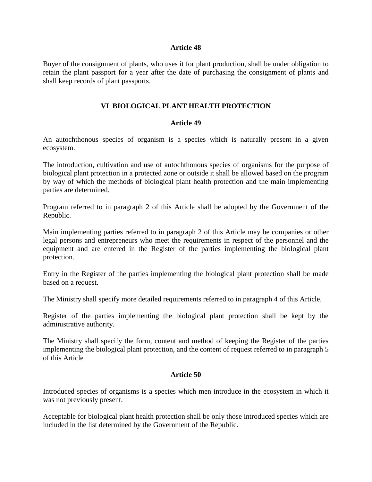#### **Article 48**

Buyer of the consignment of plants, who uses it for plant production, shall be under obligation to retain the plant passport for a year after the date of purchasing the consignment of plants and shall keep records of plant passports.

#### **VI BIOLOGICAL PLANT HEALTH PROTECTION**

#### **Article 49**

An autochthonous species of organism is a species which is naturally present in a given ecosystem.

The introduction, cultivation and use of autochthonous species of organisms for the purpose of biological plant protection in a protected zone or outside it shall be allowed based on the program by way of which the methods of biological plant health protection and the main implementing parties are determined.

Program referred to in paragraph 2 of this Article shall be adopted by the Government of the Republic.

Main implementing parties referred to in paragraph 2 of this Article may be companies or other legal persons and entrepreneurs who meet the requirements in respect of the personnel and the equipment and are entered in the Register of the parties implementing the biological plant protection.

Entry in the Register of the parties implementing the biological plant protection shall be made based on a request.

The Ministry shall specify more detailed requirements referred to in paragraph 4 of this Article.

Register of the parties implementing the biological plant protection shall be kept by the administrative authority.

The Ministry shall specify the form, content and method of keeping the Register of the parties implementing the biological plant protection, and the content of request referred to in paragraph 5 of this Article

#### **Article 50**

Introduced species of organisms is a species which men introduce in the ecosystem in which it was not previously present.

Acceptable for biological plant health protection shall be only those introduced species which are included in the list determined by the Government of the Republic.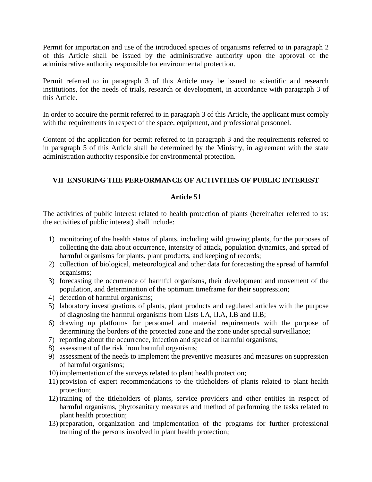Permit for importation and use of the introduced species of organisms referred to in paragraph 2 of this Article shall be issued by the administrative authority upon the approval of the administrative authority responsible for environmental protection.

Permit referred to in paragraph 3 of this Article may be issued to scientific and research institutions, for the needs of trials, research or development, in accordance with paragraph 3 of this Article.

In order to acquire the permit referred to in paragraph 3 of this Article, the applicant must comply with the requirements in respect of the space, equipment, and professional personnel.

Content of the application for permit referred to in paragraph 3 and the requirements referred to in paragraph 5 of this Article shall be determined by the Ministry, in agreement with the state administration authority responsible for environmental protection.

# **VII ENSURING THE PERFORMANCE OF ACTIVITIES OF PUBLIC INTEREST**

### **Article 51**

The activities of public interest related to health protection of plants (hereinafter referred to as: the activities of public interest) shall include:

- 1) monitoring of the health status of plants, including wild growing plants, for the purposes of collecting the data about occurrence, intensity of attack, population dynamics, and spread of harmful organisms for plants, plant products, and keeping of records;
- 2) collection of biological, meteorological and other data for forecasting the spread of harmful organisms;
- 3) forecasting the occurrence of harmful organisms, their development and movement of the population, and determination of the optimum timeframe for their suppression;
- 4) detection of harmful organisms;
- 5) laboratory investignations of plants, plant products and regulated articles with the purpose of diagnosing the harmful organisms from Lists I.A, II.A, I.B and II.B;
- 6) drawing up platforms for personnel and material requirements with the purpose of determining the borders of the protected zone and the zone under special surveillance;
- 7) reporting about the occurrence, infection and spread of harmful organisms;
- 8) assessment of the risk from harmful organisms;
- 9) assessment of the needs to implement the preventive measures and measures on suppression of harmful organisms;
- 10) implementation of the surveys related to plant health protection;
- 11) provision of expert recommendations to the titleholders of plants related to plant health protection;
- 12) training of the titleholders of plants, service providers and other entities in respect of harmful organisms, phytosanitary measures and method of performing the tasks related to plant health protection;
- 13) preparation, organization and implementation of the programs for further professional training of the persons involved in plant health protection;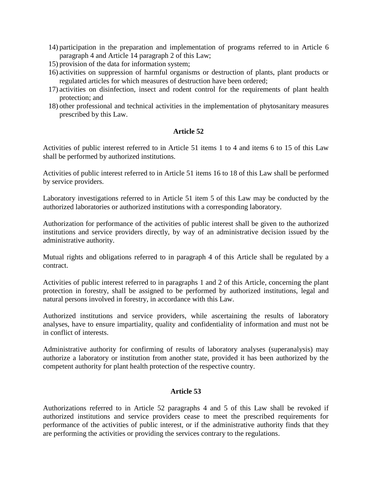- 14) participation in the preparation and implementation of programs referred to in Article 6 paragraph 4 and Article 14 paragraph 2 of this Law;
- 15) provision of the data for information system;
- 16) activities on suppression of harmful organisms or destruction of plants, plant products or regulated articles for which measures of destruction have been ordered;
- 17) activities on disinfection, insect and rodent control for the requirements of plant health protection; and
- 18) other professional and technical activities in the implementation of phytosanitary measures prescribed by this Law.

### **Article 52**

Activities of public interest referred to in Article 51 items 1 to 4 and items 6 to 15 of this Law shall be performed by authorized institutions.

Activities of public interest referred to in Article 51 items 16 to 18 of this Law shall be performed by service providers.

Laboratory investigations referred to in Article 51 item 5 of this Law may be conducted by the authorized laboratories or authorized institutions with a corresponding laboratory.

Authorization for performance of the activities of public interest shall be given to the authorized institutions and service providers directly, by way of an administrative decision issued by the administrative authority.

Mutual rights and obligations referred to in paragraph 4 of this Article shall be regulated by a contract.

Activities of public interest referred to in paragraphs 1 and 2 of this Article, concerning the plant protection in forestry, shall be assigned to be performed by authorized institutions, legal and natural persons involved in forestry, in accordance with this Law.

Authorized institutions and service providers, while ascertaining the results of laboratory analyses, have to ensure impartiality, quality and confidentiality of information and must not be in conflict of interests.

Administrative authority for confirming of results of laboratory analyses (superanalysis) may authorize a laboratory or institution from another state, provided it has been authorized by the competent authority for plant health protection of the respective country.

#### **Article 53**

Authorizations referred to in Article 52 paragraphs 4 and 5 of this Law shall be revoked if authorized institutions and service providers cease to meet the prescribed requirements for performance of the activities of public interest, or if the administrative authority finds that they are performing the activities or providing the services contrary to the regulations.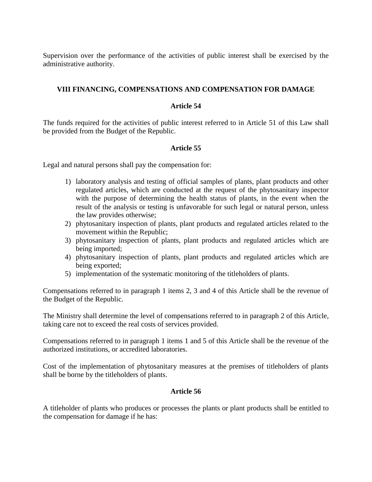Supervision over the performance of the activities of public interest shall be exercised by the administrative authority.

### **VIII FINANCING, COMPENSATIONS AND COMPENSATION FOR DAMAGE**

#### **Article 54**

The funds required for the activities of public interest referred to in Article 51 of this Law shall be provided from the Budget of the Republic.

#### **Article 55**

Legal and natural persons shall pay the compensation for:

- 1) laboratory analysis and testing of official samples of plants, plant products and other regulated articles, which are conducted at the request of the phytosanitary inspector with the purpose of determining the health status of plants, in the event when the result of the analysis or testing is unfavorable for such legal or natural person, unless the law provides otherwise;
- 2) phytosanitary inspection of plants, plant products and regulated articles related to the movement within the Republic;
- 3) phytosanitary inspection of plants, plant products and regulated articles which are being imported;
- 4) phytosanitary inspection of plants, plant products and regulated articles which are being exported;
- 5) implementation of the systematic monitoring of the titleholders of plants.

Compensations referred to in paragraph 1 items 2, 3 and 4 of this Article shall be the revenue of the Budget of the Republic.

The Ministry shall determine the level of compensations referred to in paragraph 2 of this Article, taking care not to exceed the real costs of services provided.

Compensations referred to in paragraph 1 items 1 and 5 of this Article shall be the revenue of the authorized institutions, or accredited laboratories.

Cost of the implementation of phytosanitary measures at the premises of titleholders of plants shall be borne by the titleholders of plants.

### **Article 56**

A titleholder of plants who produces or processes the plants or plant products shall be entitled to the compensation for damage if he has: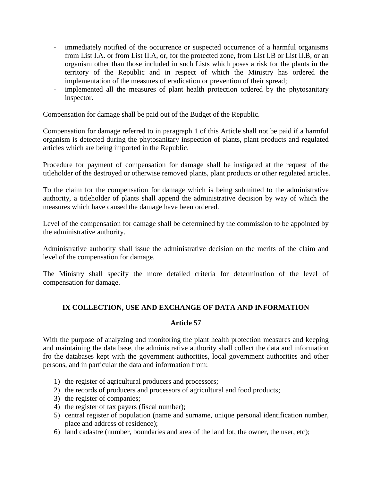- immediately notified of the occurrence or suspected occurrence of a harmful organisms from List I.A. or from List II.A, or, for the protected zone, from List I.B or List II.B, or an organism other than those included in such Lists which poses a risk for the plants in the territory of the Republic and in respect of which the Ministry has ordered the implementation of the measures of eradication or prevention of their spread;
- implemented all the measures of plant health protection ordered by the phytosanitary inspector.

Compensation for damage shall be paid out of the Budget of the Republic.

Compensation for damage referred to in paragraph 1 of this Article shall not be paid if a harmful organism is detected during the phytosanitary inspection of plants, plant products and regulated articles which are being imported in the Republic.

Procedure for payment of compensation for damage shall be instigated at the request of the titleholder of the destroyed or otherwise removed plants, plant products or other regulated articles.

To the claim for the compensation for damage which is being submitted to the administrative authority, a titleholder of plants shall append the administrative decision by way of which the measures which have caused the damage have been ordered.

Level of the compensation for damage shall be determined by the commission to be appointed by the administrative authority.

Administrative authority shall issue the administrative decision on the merits of the claim and level of the compensation for damage.

The Ministry shall specify the more detailed criteria for determination of the level of compensation for damage.

# **IX COLLECTION, USE AND EXCHANGE OF DATA AND INFORMATION**

#### **Article 57**

With the purpose of analyzing and monitoring the plant health protection measures and keeping and maintaining the data base, the administrative authority shall collect the data and information fro the databases kept with the government authorities, local government authorities and other persons, and in particular the data and information from:

- 1) the register of agricultural producers and processors;
- 2) the records of producers and processors of agricultural and food products;
- 3) the register of companies;
- 4) the register of tax payers (fiscal number);
- 5) central register of population (name and surname, unique personal identification number, place and address of residence);
- 6) land cadastre (number, boundaries and area of the land lot, the owner, the user, etc);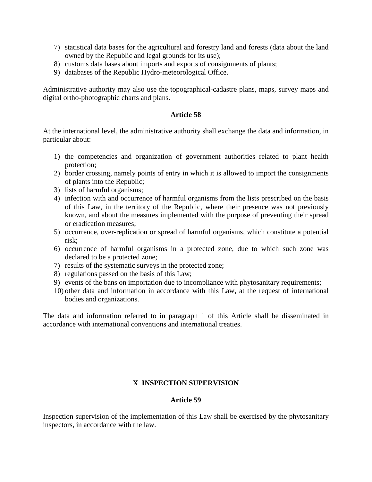- 7) statistical data bases for the agricultural and forestry land and forests (data about the land owned by the Republic and legal grounds for its use);
- 8) customs data bases about imports and exports of consignments of plants;
- 9) databases of the Republic Hydro-meteorological Office.

Administrative authority may also use the topographical-cadastre plans, maps, survey maps and digital ortho-photographic charts and plans.

#### **Article 58**

At the international level, the administrative authority shall exchange the data and information, in particular about:

- 1) the competencies and organization of government authorities related to plant health protection;
- 2) border crossing, namely points of entry in which it is allowed to import the consignments of plants into the Republic;
- 3) lists of harmful organisms;
- 4) infection with and occurrence of harmful organisms from the lists prescribed on the basis of this Law, in the territory of the Republic, where their presence was not previously known, and about the measures implemented with the purpose of preventing their spread or eradication measures;
- 5) occurrence, over-replication or spread of harmful organisms, which constitute a potential risk;
- 6) occurrence of harmful organisms in a protected zone, due to which such zone was declared to be a protected zone;
- 7) results of the systematic surveys in the protected zone;
- 8) regulations passed on the basis of this Law;
- 9) events of the bans on importation due to incompliance with phytosanitary requirements;
- 10) other data and information in accordance with this Law, at the request of international bodies and organizations.

The data and information referred to in paragraph 1 of this Article shall be disseminated in accordance with international conventions and international treaties.

# **X INSPECTION SUPERVISION**

### **Article 59**

Inspection supervision of the implementation of this Law shall be exercised by the phytosanitary inspectors, in accordance with the law.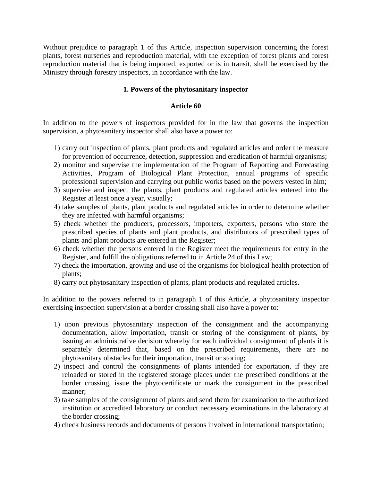Without prejudice to paragraph 1 of this Article, inspection supervision concerning the forest plants, forest nurseries and reproduction material, with the exception of forest plants and forest reproduction material that is being imported, exported or is in transit, shall be exercised by the Ministry through forestry inspectors, in accordance with the law.

### **1. Powers of the phytosanitary inspector**

### **Article 60**

In addition to the powers of inspectors provided for in the law that governs the inspection supervision, a phytosanitary inspector shall also have a power to:

- 1) carry out inspection of plants, plant products and regulated articles and order the measure for prevention of occurrence, detection, suppression and eradication of harmful organisms;
- 2) monitor and supervise the implementation of the Program of Reporting and Forecasting Activities, Program of Biological Plant Protection, annual programs of specific professional supervision and carrying out public works based on the powers vested in him;
- 3) supervise and inspect the plants, plant products and regulated articles entered into the Register at least once a year, visually;
- 4) take samples of plants, plant products and regulated articles in order to determine whether they are infected with harmful organisms;
- 5) check whether the producers, processors, importers, exporters, persons who store the prescribed species of plants and plant products, and distributors of prescribed types of plants and plant products are entered in the Register;
- 6) check whether the persons entered in the Register meet the requirements for entry in the Register, and fulfill the obligations referred to in Article 24 of this Law;
- 7) check the importation, growing and use of the organisms for biological health protection of plants;
- 8) carry out phytosanitary inspection of plants, plant products and regulated articles.

In addition to the powers referred to in paragraph 1 of this Article, a phytosanitary inspector exercising inspection supervision at a border crossing shall also have a power to:

- 1) upon previous phytosanitary inspection of the consignment and the accompanying documentation, allow importation, transit or storing of the consignment of plants, by issuing an administrative decision whereby for each individual consignment of plants it is separately determined that, based on the prescribed requirements, there are no phytosanitary obstacles for their importation, transit or storing;
- 2) inspect and control the consignments of plants intended for exportation, if they are reloaded or stored in the registered storage places under the prescribed conditions at the border crossing, issue the phytocertificate or mark the consignment in the prescribed manner;
- 3) take samples of the consignment of plants and send them for examination to the authorized institution or accredited laboratory or conduct necessary examinations in the laboratory at the border crossing;
- 4) check business records and documents of persons involved in international transportation;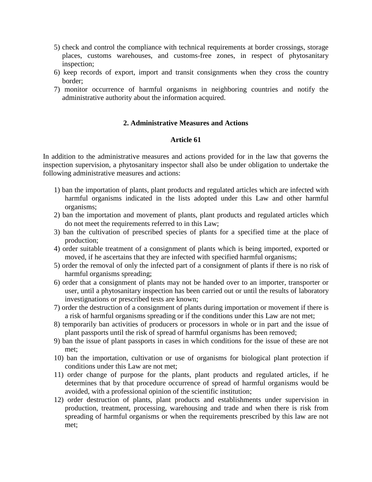- 5) check and control the compliance with technical requirements at border crossings, storage places, customs warehouses, and customs-free zones, in respect of phytosanitary inspection;
- 6) keep records of export, import and transit consignments when they cross the country border;
- 7) monitor occurrence of harmful organisms in neighboring countries and notify the administrative authority about the information acquired.

#### **2. Administrative Measures and Actions**

#### **Article 61**

In addition to the administrative measures and actions provided for in the law that governs the inspection supervision, a phytosanitary inspector shall also be under obligation to undertake the following administrative measures and actions:

- 1) ban the importation of plants, plant products and regulated articles which are infected with harmful organisms indicated in the lists adopted under this Law and other harmful organisms;
- 2) ban the importation and movement of plants, plant products and regulated articles which do not meet the requirements referred to in this Law;
- 3) ban the cultivation of prescribed species of plants for a specified time at the place of production;
- 4) order suitable treatment of a consignment of plants which is being imported, exported or moved, if he ascertains that they are infected with specified harmful organisms;
- 5) order the removal of only the infected part of a consignment of plants if there is no risk of harmful organisms spreading;
- 6) order that a consignment of plants may not be handed over to an importer, transporter or user, until a phytosanitary inspection has been carried out or until the results of laboratory investignations or prescribed tests are known;
- 7) order the destruction of a consignment of plants during importation or movement if there is a risk of harmful organisms spreading or if the conditions under this Law are not met;
- 8) temporarily ban activities of producers or processors in whole or in part and the issue of plant passports until the risk of spread of harmful organisms has been removed;
- 9) ban the issue of plant passports in cases in which conditions for the issue of these are not met;
- 10) ban the importation, cultivation or use of organisms for biological plant protection if conditions under this Law are not met;
- 11) order change of purpose for the plants, plant products and regulated articles, if he determines that by that procedure occurrence of spread of harmful organisms would be avoided, with a professional opinion of the scientific institution;
- 12) order destruction of plants, plant products and establishments under supervision in production, treatment, processing, warehousing and trade and when there is risk from spreading of harmful organisms or when the requirements prescribed by this law are not met;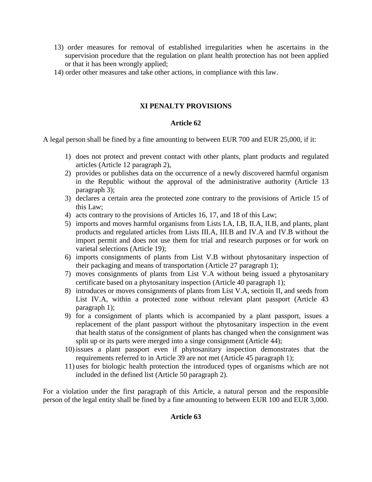- 13) order measures for removal of established irregularities when he ascertains in the supervision procedure that the regulation on plant health protection has not been applied or that it has been wrongly applied;
- 14) order other measures and take other actions, in compliance with this law.

# **XI PENALTY PROVISIONS**

# **Article 62**

A legal person shall be fined by a fine amounting to between EUR 700 and EUR 25,000, if it:

- 1) does not protect and prevent contact with other plants, plant products and regulated articles (Article 12 paragraph 2),
- 2) provides or publishes data on the occurrence of a newly discovered harmful organism in the Republic without the approval of the administrative authority (Article 13 paragraph 3);
- 3) declares a certain area the protected zone contrary to the provisions of Article 15 of this Law;
- 4) acts contrary to the provisions of Articles 16, 17, and 18 of this Law;
- 5) imports and moves harmful organisms from Lists I.A, I.B, II.A, II.B, and plants, plant products and regulated articles from Lists III.A, III.B and IV.A and IV.B without the import permit and does not use them for trial and research purposes or for work on varietal selections (Article 19);
- 6) imports consignments of plants from List V.B without phytosanitary inspection of their packaging and means of transportation (Article 27 paragraph 1);
- 7) moves consignments of plants from List V.A without being issued a phytosanitary certificate based on a phytosanitary inspection (Article 40 paragraph 1);
- 8) introduces or moves consignments of plants from List V.A, sectioin II, and seeds from List IV.A, within a protected zone without relevant plant passport (Article 43 paragraph 1);
- 9) for a consignment of plants which is accompanied by a plant passport, issues a replacement of the plant passport without the phytosanitary inspection in the event that health status of the consignment of plants has changed when the consignment was split up or its parts were merged into a singe consignment (Article 44);
- 10) issues a plant passport even if phytosanitary inspection demonstrates that the requirements referred to in Article 39 are not met (Article 45 paragraph 1);
- 11) uses for biologic health protection the introduced types of organisms which are not included in the defined list (Article 50 paragraph 2).

For a violation under the first paragraph of this Article, a natural person and the responsible person of the legal entity shall be fined by a fine amounting to between EUR 100 and EUR 3,000.

#### **Article 63**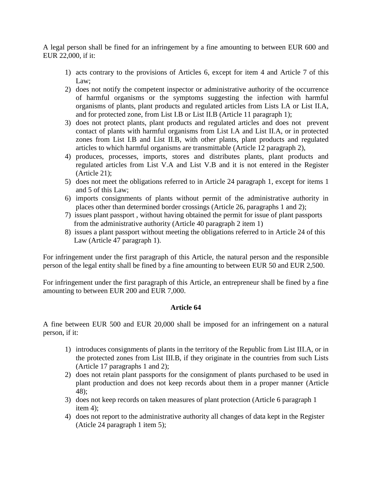A legal person shall be fined for an infringement by a fine amounting to between EUR 600 and EUR 22,000, if it:

- 1) acts contrary to the provisions of Articles 6, except for item 4 and Article 7 of this Law;
- 2) does not notify the competent inspector or administrative authority of the occurrence of harmful organisms or the symptoms suggesting the infection with harmful organisms of plants, plant products and regulated articles from Lists I.A or List II.A, and for protected zone, from List I.B or List II.B (Article 11 paragraph 1);
- 3) does not protect plants, plant products and regulated articles and does not prevent contact of plants with harmful organisms from List I.A and List II.A, or in protected zones from List I.B and List II.B, with other plants, plant products and regulated articles to which harmful organisms are transmittable (Article 12 paragraph 2),
- 4) produces, processes, imports, stores and distributes plants, plant products and regulated articles from List V.A and List V.B and it is not entered in the Register (Article 21);
- 5) does not meet the obligations referred to in Article 24 paragraph 1, except for items 1 and 5 of this Law;
- 6) imports consignments of plants without permit of the administrative authority in places other than determined border crossings (Article 26, paragraphs 1 and 2);
- 7) issues plant passport , without having obtained the permit for issue of plant passports from the administrative authority (Article 40 paragraph 2 item 1)
- 8) issues a plant passport without meeting the obligations referred to in Article 24 of this Law (Article 47 paragraph 1).

For infringement under the first paragraph of this Article, the natural person and the responsible person of the legal entity shall be fined by a fine amounting to between EUR 50 and EUR 2,500.

For infringement under the first paragraph of this Article, an entrepreneur shall be fined by a fine amounting to between EUR 200 and EUR 7,000.

# **Article 64**

A fine between EUR 500 and EUR 20,000 shall be imposed for an infringement on a natural person, if it:

- 1) introduces consignments of plants in the territory of the Republic from List III.A, or in the protected zones from List III.B, if they originate in the countries from such Lists (Article 17 paragraphs 1 and 2);
- 2) does not retain plant passports for the consignment of plants purchased to be used in plant production and does not keep records about them in a proper manner (Article 48);
- 3) does not keep records on taken measures of plant protection (Article 6 paragraph 1 item 4);
- 4) does not report to the administrative authority all changes of data kept in the Register (Aticle 24 paragraph 1 item 5);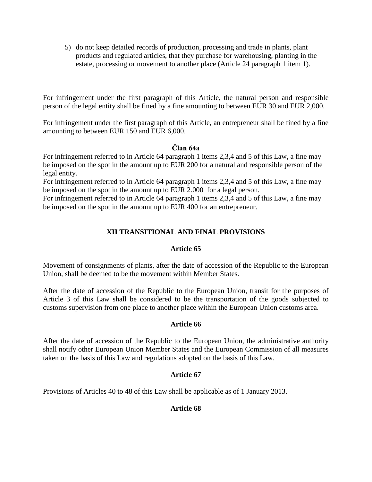5) do not keep detailed records of production, processing and trade in plants, plant products and regulated articles, that they purchase for warehousing, planting in the estate, processing or movement to another place (Article 24 paragraph 1 item 1).

For infringement under the first paragraph of this Article, the natural person and responsible person of the legal entity shall be fined by a fine amounting to between EUR 30 and EUR 2,000.

For infringement under the first paragraph of this Article, an entrepreneur shall be fined by a fine amounting to between EUR 150 and EUR 6,000.

# **Član 64a**

For infringement referred to in Article 64 paragraph 1 items 2,3,4 and 5 of this Law, a fine may be imposed on the spot in the amount up to EUR 200 for a natural and responsible person of the legal entity.

For infringement referred to in Article 64 paragraph 1 items 2,3,4 and 5 of this Law, a fine may be imposed on the spot in the amount up to EUR 2.000 for a legal person.

For infringement referred to in Article 64 paragraph 1 items 2,3,4 and 5 of this Law, a fine may be imposed on the spot in the amount up to EUR 400 for an entrepreneur.

# **XII TRANSITIONAL AND FINAL PROVISIONS**

# **Article 65**

Movement of consignments of plants, after the date of accession of the Republic to the European Union, shall be deemed to be the movement within Member States.

After the date of accession of the Republic to the European Union, transit for the purposes of Article 3 of this Law shall be considered to be the transportation of the goods subjected to customs supervision from one place to another place within the European Union customs area.

# **Article 66**

After the date of accession of the Republic to the European Union, the administrative authority shall notify other European Union Member States and the European Commission of all measures taken on the basis of this Law and regulations adopted on the basis of this Law.

# **Article 67**

Provisions of Articles 40 to 48 of this Law shall be applicable as of 1 January 2013.

# **Article 68**